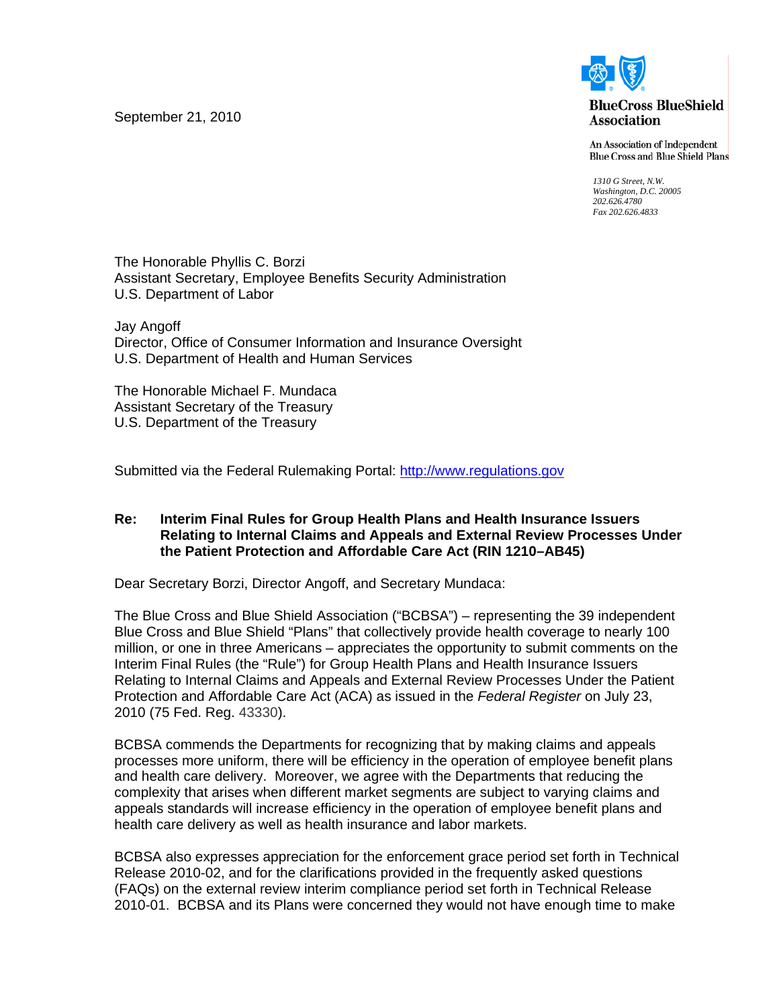September 21, 2010



**BlueCross BlueShield Association** 

An Association of Independent **Blue Cross and Blue Shield Plans** 

*1310 G Street, N.W. Washington, D.C. 20005 202.626.4780 Fax 202.626.4833* 

The Honorable Phyllis C. Borzi Assistant Secretary, Employee Benefits Security Administration U.S. Department of Labor

Jay Angoff Director, Office of Consumer Information and Insurance Oversight U.S. Department of Health and Human Services

The Honorable Michael F. Mundaca Assistant Secretary of the Treasury U.S. Department of the Treasury

Submitted via the Federal Rulemaking Portal: [http://www.regulations.gov](http://www.regulations.gov/)

#### **Re: Interim Final Rules for Group Health Plans and Health Insurance Issuers Relating to Internal Claims and Appeals and External Review Processes Under the Patient Protection and Affordable Care Act (RIN 1210–AB45)**

Dear Secretary Borzi, Director Angoff, and Secretary Mundaca:

The Blue Cross and Blue Shield Association ("BCBSA") – representing the 39 independent Blue Cross and Blue Shield "Plans" that collectively provide health coverage to nearly 100 million, or one in three Americans – appreciates the opportunity to submit comments on the Interim Final Rules (the "Rule") for Group Health Plans and Health Insurance Issuers Relating to Internal Claims and Appeals and External Review Processes Under the Patient Protection and Affordable Care Act (ACA) as issued in the *Federal Register* on July 23, 2010 (75 Fed. Reg. 43330).

BCBSA commends the Departments for recognizing that by making claims and appeals processes more uniform, there will be efficiency in the operation of employee benefit plans and health care delivery. Moreover, we agree with the Departments that reducing the complexity that arises when different market segments are subject to varying claims and appeals standards will increase efficiency in the operation of employee benefit plans and health care delivery as well as health insurance and labor markets.

BCBSA also expresses appreciation for the enforcement grace period set forth in Technical Release 2010-02, and for the clarifications provided in the frequently asked questions (FAQs) on the external review interim compliance period set forth in Technical Release 2010-01. BCBSA and its Plans were concerned they would not have enough time to make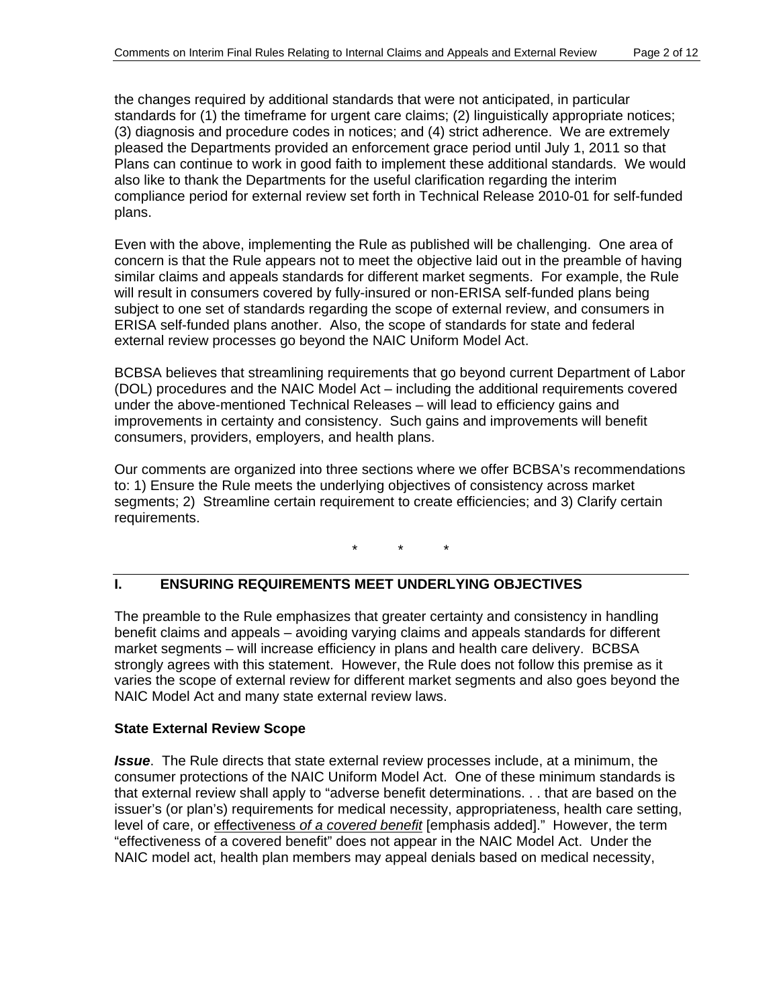the changes required by additional standards that were not anticipated, in particular standards for (1) the timeframe for urgent care claims; (2) linguistically appropriate notices; (3) diagnosis and procedure codes in notices; and (4) strict adherence. We are extremely pleased the Departments provided an enforcement grace period until July 1, 2011 so that Plans can continue to work in good faith to implement these additional standards. We would also like to thank the Departments for the useful clarification regarding the interim compliance period for external review set forth in Technical Release 2010-01 for self-funded plans.

Even with the above, implementing the Rule as published will be challenging. One area of concern is that the Rule appears not to meet the objective laid out in the preamble of having similar claims and appeals standards for different market segments. For example, the Rule will result in consumers covered by fully-insured or non-ERISA self-funded plans being subject to one set of standards regarding the scope of external review, and consumers in ERISA self-funded plans another. Also, the scope of standards for state and federal external review processes go beyond the NAIC Uniform Model Act.

BCBSA believes that streamlining requirements that go beyond current Department of Labor (DOL) procedures and the NAIC Model Act – including the additional requirements covered under the above-mentioned Technical Releases – will lead to efficiency gains and improvements in certainty and consistency. Such gains and improvements will benefit consumers, providers, employers, and health plans.

Our comments are organized into three sections where we offer BCBSA's recommendations to: 1) Ensure the Rule meets the underlying objectives of consistency across market segments; 2) Streamline certain requirement to create efficiencies; and 3) Clarify certain requirements.

\* \* \*

# **I. ENSURING REQUIREMENTS MEET UNDERLYING OBJECTIVES**

The preamble to the Rule emphasizes that greater certainty and consistency in handling benefit claims and appeals – avoiding varying claims and appeals standards for different market segments – will increase efficiency in plans and health care delivery. BCBSA strongly agrees with this statement. However, the Rule does not follow this premise as it varies the scope of external review for different market segments and also goes beyond the NAIC Model Act and many state external review laws.

# **State External Review Scope**

*Issue*. The Rule directs that state external review processes include, at a minimum, the consumer protections of the NAIC Uniform Model Act. One of these minimum standards is that external review shall apply to "adverse benefit determinations. . . that are based on the issuer's (or plan's) requirements for medical necessity, appropriateness, health care setting, level of care, or effectiveness *of a covered benefit* [emphasis added]." However, the term "effectiveness of a covered benefit" does not appear in the NAIC Model Act. Under the NAIC model act, health plan members may appeal denials based on medical necessity,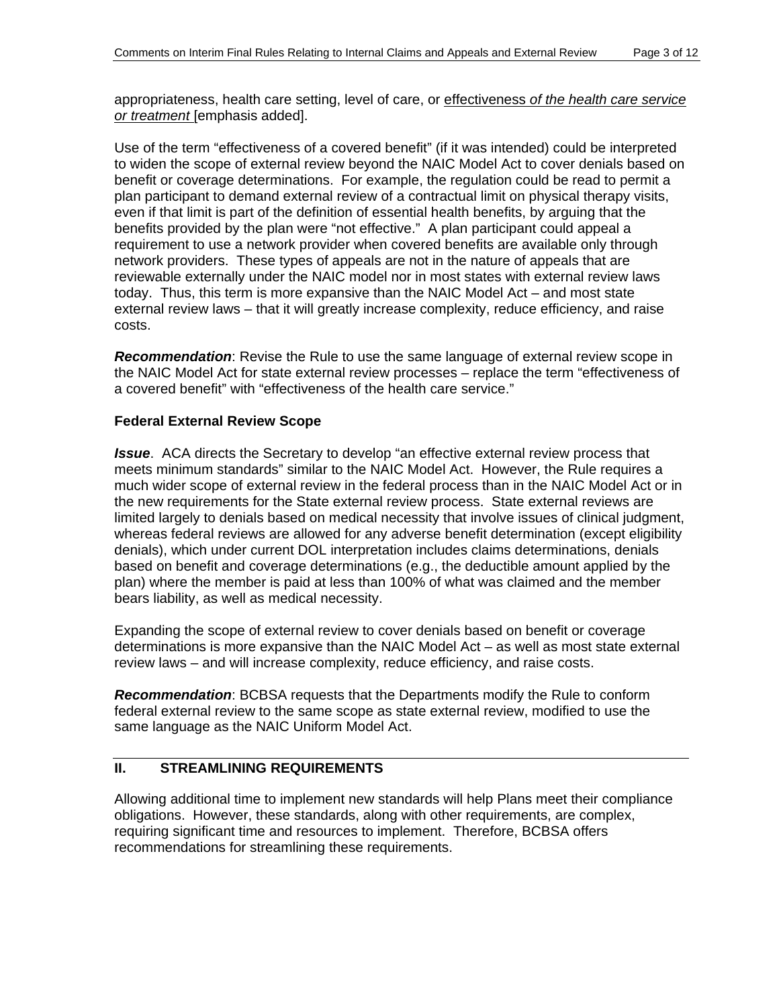appropriateness, health care setting, level of care, or effectiveness *of the health care service or treatment* [emphasis added].

Use of the term "effectiveness of a covered benefit" (if it was intended) could be interpreted to widen the scope of external review beyond the NAIC Model Act to cover denials based on benefit or coverage determinations. For example, the regulation could be read to permit a plan participant to demand external review of a contractual limit on physical therapy visits, even if that limit is part of the definition of essential health benefits, by arguing that the benefits provided by the plan were "not effective." A plan participant could appeal a requirement to use a network provider when covered benefits are available only through network providers. These types of appeals are not in the nature of appeals that are reviewable externally under the NAIC model nor in most states with external review laws today. Thus, this term is more expansive than the NAIC Model Act – and most state external review laws – that it will greatly increase complexity, reduce efficiency, and raise costs.

*Recommendation*: Revise the Rule to use the same language of external review scope in the NAIC Model Act for state external review processes – replace the term "effectiveness of a covered benefit" with "effectiveness of the health care service."

#### **Federal External Review Scope**

*Issue*. ACA directs the Secretary to develop "an effective external review process that meets minimum standards" similar to the NAIC Model Act. However, the Rule requires a much wider scope of external review in the federal process than in the NAIC Model Act or in the new requirements for the State external review process. State external reviews are limited largely to denials based on medical necessity that involve issues of clinical judgment, whereas federal reviews are allowed for any adverse benefit determination (except eligibility denials), which under current DOL interpretation includes claims determinations, denials based on benefit and coverage determinations (e.g., the deductible amount applied by the plan) where the member is paid at less than 100% of what was claimed and the member bears liability, as well as medical necessity.

Expanding the scope of external review to cover denials based on benefit or coverage determinations is more expansive than the NAIC Model Act – as well as most state external review laws – and will increase complexity, reduce efficiency, and raise costs.

*Recommendation*: BCBSA requests that the Departments modify the Rule to conform federal external review to the same scope as state external review, modified to use the same language as the NAIC Uniform Model Act.

# **II. STREAMLINING REQUIREMENTS**

Allowing additional time to implement new standards will help Plans meet their compliance obligations. However, these standards, along with other requirements, are complex, requiring significant time and resources to implement. Therefore, BCBSA offers recommendations for streamlining these requirements.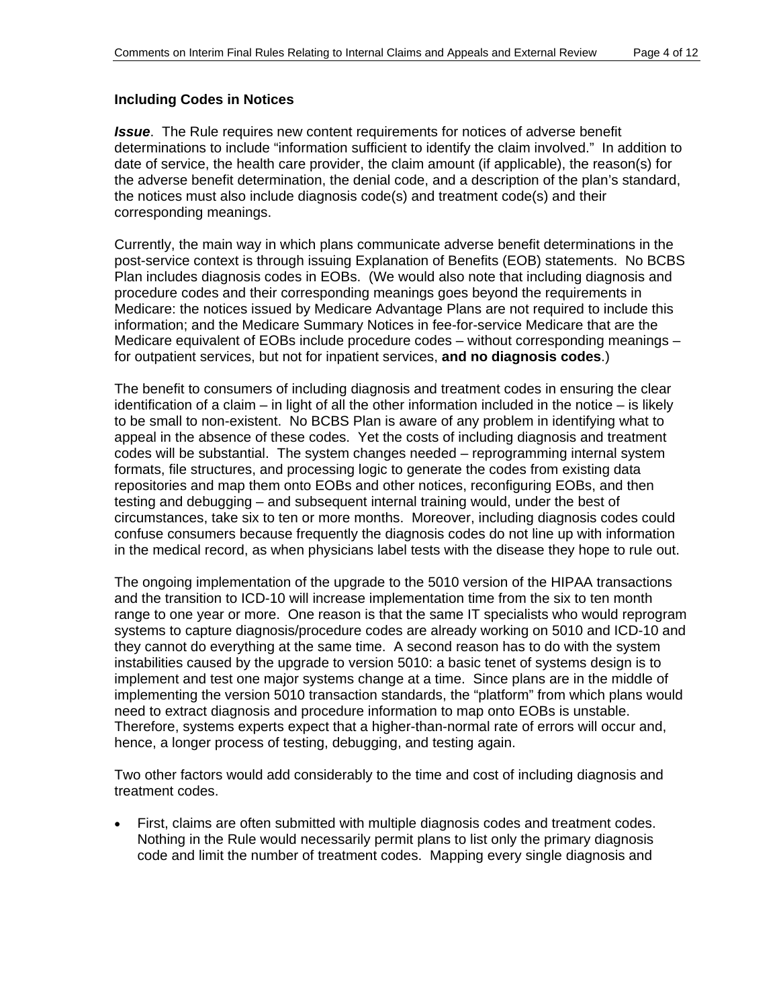#### **Including Codes in Notices**

*Issue*. The Rule requires new content requirements for notices of adverse benefit determinations to include "information sufficient to identify the claim involved." In addition to date of service, the health care provider, the claim amount (if applicable), the reason(s) for the adverse benefit determination, the denial code, and a description of the plan's standard, the notices must also include diagnosis code(s) and treatment code(s) and their corresponding meanings.

Currently, the main way in which plans communicate adverse benefit determinations in the post-service context is through issuing Explanation of Benefits (EOB) statements. No BCBS Plan includes diagnosis codes in EOBs. (We would also note that including diagnosis and procedure codes and their corresponding meanings goes beyond the requirements in Medicare: the notices issued by Medicare Advantage Plans are not required to include this information; and the Medicare Summary Notices in fee-for-service Medicare that are the Medicare equivalent of EOBs include procedure codes – without corresponding meanings – for outpatient services, but not for inpatient services, **and no diagnosis codes**.)

The benefit to consumers of including diagnosis and treatment codes in ensuring the clear identification of a claim – in light of all the other information included in the notice – is likely to be small to non-existent. No BCBS Plan is aware of any problem in identifying what to appeal in the absence of these codes. Yet the costs of including diagnosis and treatment codes will be substantial. The system changes needed – reprogramming internal system formats, file structures, and processing logic to generate the codes from existing data repositories and map them onto EOBs and other notices, reconfiguring EOBs, and then testing and debugging – and subsequent internal training would, under the best of circumstances, take six to ten or more months. Moreover, including diagnosis codes could confuse consumers because frequently the diagnosis codes do not line up with information in the medical record, as when physicians label tests with the disease they hope to rule out.

The ongoing implementation of the upgrade to the 5010 version of the HIPAA transactions and the transition to ICD-10 will increase implementation time from the six to ten month range to one year or more. One reason is that the same IT specialists who would reprogram systems to capture diagnosis/procedure codes are already working on 5010 and ICD-10 and they cannot do everything at the same time. A second reason has to do with the system instabilities caused by the upgrade to version 5010: a basic tenet of systems design is to implement and test one major systems change at a time. Since plans are in the middle of implementing the version 5010 transaction standards, the "platform" from which plans would need to extract diagnosis and procedure information to map onto EOBs is unstable. Therefore, systems experts expect that a higher-than-normal rate of errors will occur and, hence, a longer process of testing, debugging, and testing again.

Two other factors would add considerably to the time and cost of including diagnosis and treatment codes.

• First, claims are often submitted with multiple diagnosis codes and treatment codes. Nothing in the Rule would necessarily permit plans to list only the primary diagnosis code and limit the number of treatment codes. Mapping every single diagnosis and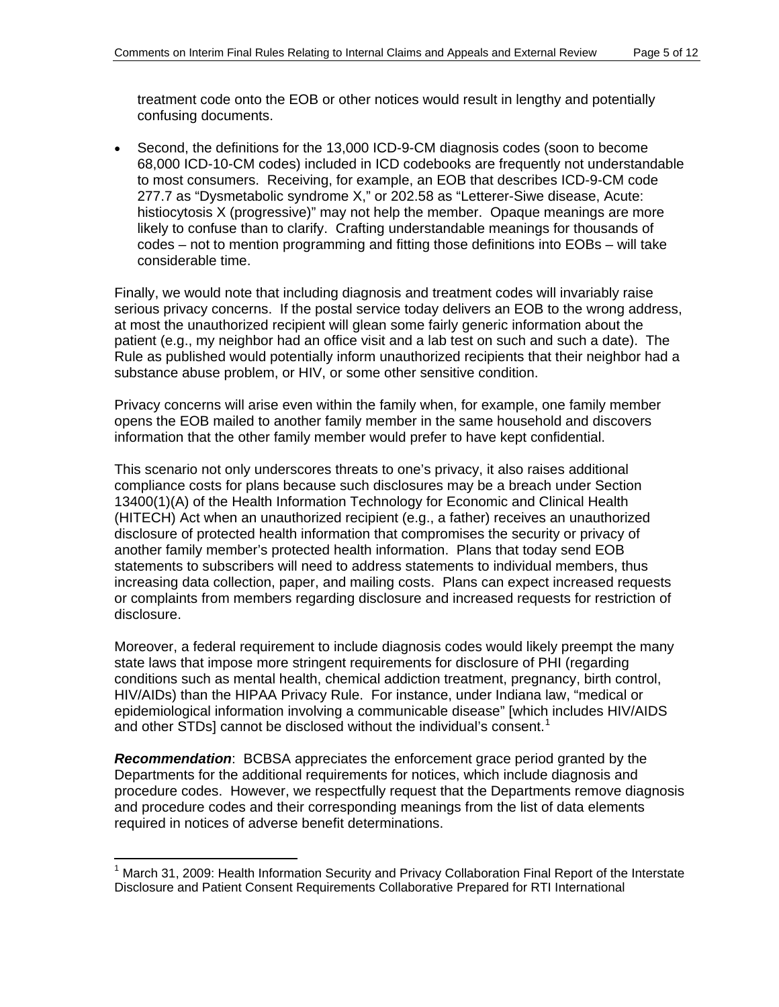treatment code onto the EOB or other notices would result in lengthy and potentially confusing documents.

• Second, the definitions for the 13,000 ICD-9-CM diagnosis codes (soon to become 68,000 ICD-10-CM codes) included in ICD codebooks are frequently not understandable to most consumers. Receiving, for example, an EOB that describes ICD-9-CM code 277.7 as "Dysmetabolic syndrome X," or 202.58 as "Letterer-Siwe disease, Acute: histiocytosis X (progressive)" may not help the member. Opaque meanings are more likely to confuse than to clarify. Crafting understandable meanings for thousands of codes – not to mention programming and fitting those definitions into EOBs – will take considerable time.

Finally, we would note that including diagnosis and treatment codes will invariably raise serious privacy concerns. If the postal service today delivers an EOB to the wrong address, at most the unauthorized recipient will glean some fairly generic information about the patient (e.g., my neighbor had an office visit and a lab test on such and such a date). The Rule as published would potentially inform unauthorized recipients that their neighbor had a substance abuse problem, or HIV, or some other sensitive condition.

Privacy concerns will arise even within the family when, for example, one family member opens the EOB mailed to another family member in the same household and discovers information that the other family member would prefer to have kept confidential.

This scenario not only underscores threats to one's privacy, it also raises additional compliance costs for plans because such disclosures may be a breach under Section 13400(1)(A) of the Health Information Technology for Economic and Clinical Health (HITECH) Act when an unauthorized recipient (e.g., a father) receives an unauthorized disclosure of protected health information that compromises the security or privacy of another family member's protected health information. Plans that today send EOB statements to subscribers will need to address statements to individual members, thus increasing data collection, paper, and mailing costs. Plans can expect increased requests or complaints from members regarding disclosure and increased requests for restriction of disclosure.

Moreover, a federal requirement to include diagnosis codes would likely preempt the many state laws that impose more stringent requirements for disclosure of PHI (regarding conditions such as mental health, chemical addiction treatment, pregnancy, birth control, HIV/AIDs) than the HIPAA Privacy Rule. For instance, under Indiana law, "medical or epidemiological information involving a communicable disease" [which includes HIV/AIDS and other STDs] cannot be disclosed without the individual's consent.<sup>[1](#page-4-0)</sup>

*Recommendation*: BCBSA appreciates the enforcement grace period granted by the Departments for the additional requirements for notices, which include diagnosis and procedure codes. However, we respectfully request that the Departments remove diagnosis and procedure codes and their corresponding meanings from the list of data elements required in notices of adverse benefit determinations.

 $\overline{a}$ 

<span id="page-4-0"></span><sup>&</sup>lt;sup>1</sup> March 31, 2009: Health Information Security and Privacy Collaboration Final Report of the Interstate Disclosure and Patient Consent Requirements Collaborative Prepared for RTI International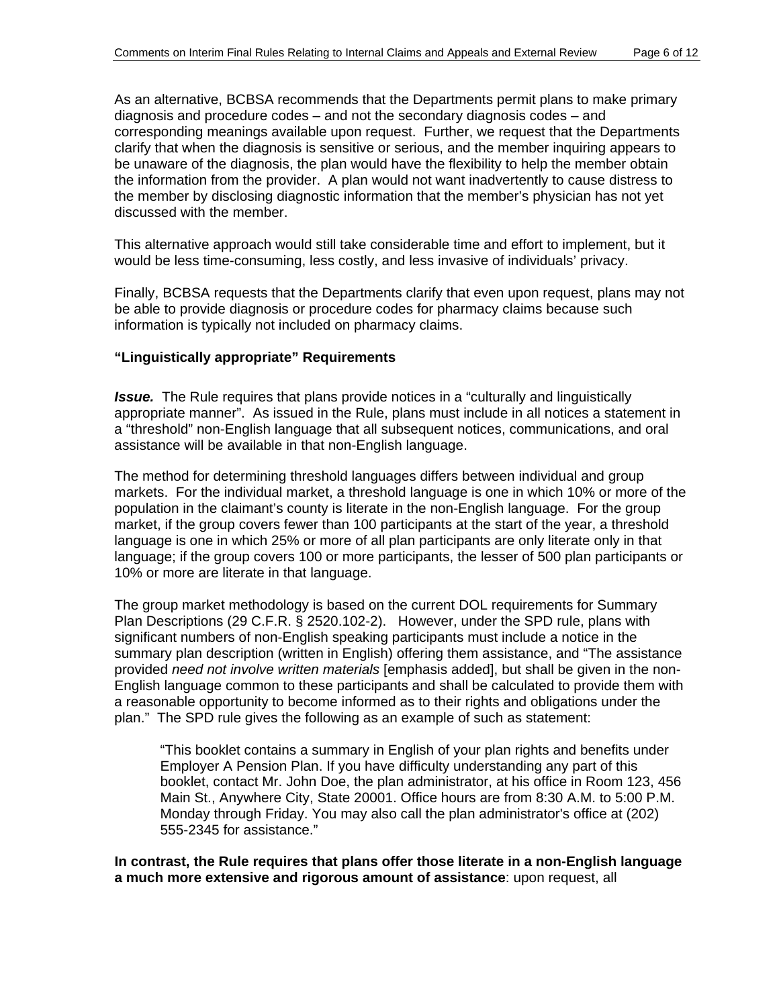As an alternative, BCBSA recommends that the Departments permit plans to make primary corresponding meanings available upon request. Further, we request that the Departments diagnosis and procedure codes – and not the secondary diagnosis codes – and clarify that when the diagnosis is sensitive or serious, and the member inquiring appears to be unaware of the diagnosis, the plan would have the flexibility to help the member obtain the information from the provider. A plan would not want inadvertently to cause distress to the member by disclosing diagnostic information that the member's physician has not yet discussed with the member.

This alternative approach would still take considerable time and effort to implement, but it would be less time-consuming, less costly, and less invasive of individuals' privacy.

Finally, BCBSA requests that the Departments clarify that even upon request, plans may not be able to provide diagnosis or procedure codes for pharmacy claims because such information is typically not included on pharmacy claims.

#### **Linguistically appropriate" Requirements "**

**Issue.** The Rule requires that plans provide notices in a "culturally and linguistically appropriate manner". As issued in the Rule, plans must include in all notices a statement in a "threshold" non-English language that all subsequent notices, communications, and oral assistance will be available in that non-English language.

The method for determining threshold languages differs between individual and group markets. For the individual market, a threshold language is one in which 10% or more of the language; if the group covers 100 or more participants, the lesser of 500 plan participants or population in the claimant's county is literate in the non-English language. For the group market, if the group covers fewer than 100 participants at the start of the year, a threshold language is one in which 25% or more of all plan participants are only literate only in that 10% or more are literate in that language.

The group market methodology is based on the current DOL requirements for Summary summary plan description (written in English) offering them assistance, and "The assistance Plan Descriptions (29 C.F.R. § 2520.102-2). However, under the SPD rule, plans with significant numbers of non-English speaking participants must include a notice in the provided *need not involve written materials* [emphasis added], but shall be given in the non-English language common to these participants and shall be calculated to provide them with a reasonable opportunity to become informed as to their rights and obligations under the plan." The SPD rule gives the following as an example of such as statement:

"This booklet contains a summary in English of your plan rights and benefits under booklet, contact Mr. John Doe, the plan administrator, at his office in Room 123, 456 Employer A Pension Plan. If you have difficulty understanding any part of this Main St., Anywhere City, State 20001. Office hours are from 8:30 A.M. to 5:00 P.M. Monday through Friday. You may also call the plan administrator's office at (202) 555-2345 for assistance."

**In contrast, the Rule requires that plans offer those literate in a non-English language a much more extensive and rigorous amount of assistance**: upon request, all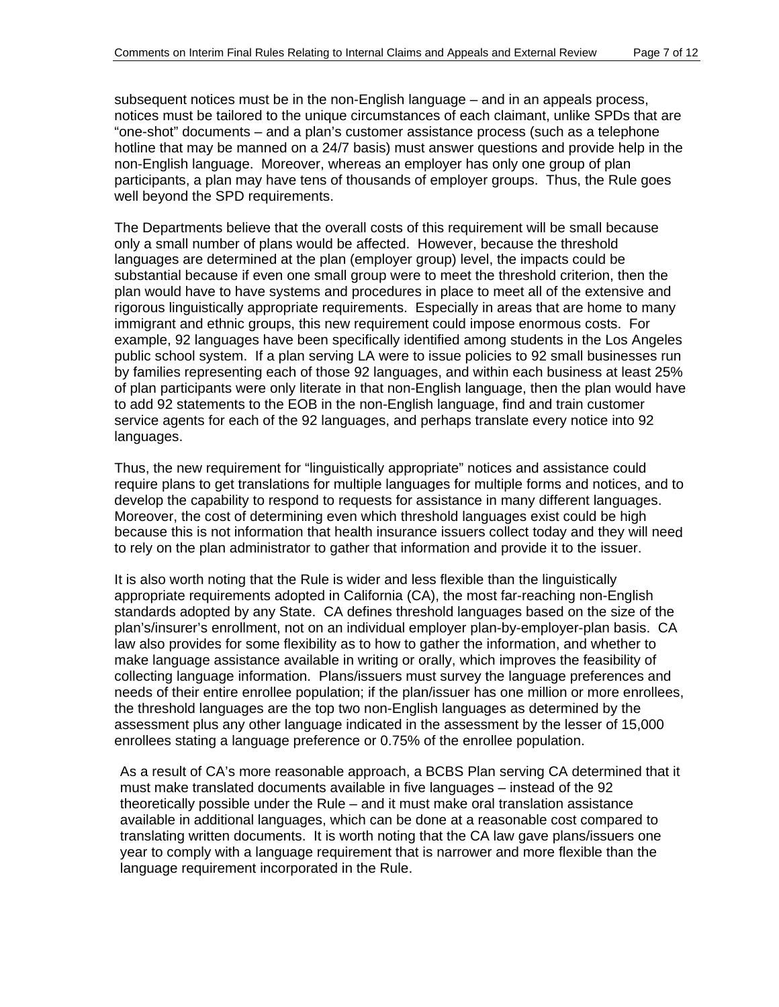notices must be tailored to the unique circumstances of each claimant, unlike SPDs that are subsequent notices must be in the non-English language – and in an appeals process, "one-shot" documents – and a plan's customer assistance process (such as a telephone hotline that may be manned on a 24/7 basis) must answer questions and provide help in the non-English language. Moreover, whereas an employer has only one group of plan participants, a plan may have tens of thousands of employer groups. Thus, the Rule goes well beyond the SPD requirements.

The Departments believe that the overall costs of this requirement will be small because only a small number of plans would be affected. However, because the threshold substantial because if even one small group were to meet the threshold criterion, then the plan would have to have systems and procedures in place to meet all of the extensive and public school system. If a plan serving LA were to issue policies to 92 small businesses run languages are determined at the plan (employer group) level, the impacts could be rigorous linguistically appropriate requirements. Especially in areas that are home to many immigrant and ethnic groups, this new requirement could impose enormous costs. For example, 92 languages have been specifically identified among students in the Los Angeles by families representing each of those 92 languages, and within each business at least 25% of plan participants were only literate in that non-English language, then the plan would have to add 92 statements to the EOB in the non-English language, find and train customer service agents for each of the 92 languages, and perhaps translate every notice into 92 languages.

Thus, the new requirement for "linguistically appropriate" notices and assistance could require plans to get translations for multiple languages for multiple forms and notices, and to develop the capability to respond to requests for assistance in many different languages. because this is not information that health insurance issuers collect today and they will need Moreover, the cost of determining even which threshold languages exist could be high to rely on the plan administrator to gather that information and provide it to the issuer.

appropriate requirements adopted in California (CA), the most far-reaching non-English standards adopted by any State. CA defines threshold languages based on the size of the plan's/insurer's enrollment, not on an individual employer plan-by-employer-plan basis. CA collecting language information. Plans/issuers must survey the language preferences and needs of their entire enrollee population; if the plan/issuer has one million or more enrollees, It is also worth noting that the Rule is wider and less flexible than the linguistically law also provides for some flexibility as to how to gather the information, and whether to make language assistance available in writing or orally, which improves the feasibility of the threshold languages are the top two non-English languages as determined by the assessment plus any other language indicated in the assessment by the lesser of 15,000 enrollees stating a language preference or 0.75% of the enrollee population.

As a result of CA's more reasonable approach, a BCBS Plan serving CA determined that it must make translated documents available in five languages – instead of the 92 available in additional languages, which can be done at a reasonable cost compared to translating written documents. It is worth noting that the CA law gave plans/issuers one theoretically possible under the Rule – and it must make oral translation assistance year to comply with a language requirement that is narrower and more flexible than the language requirement incorporated in the Rule.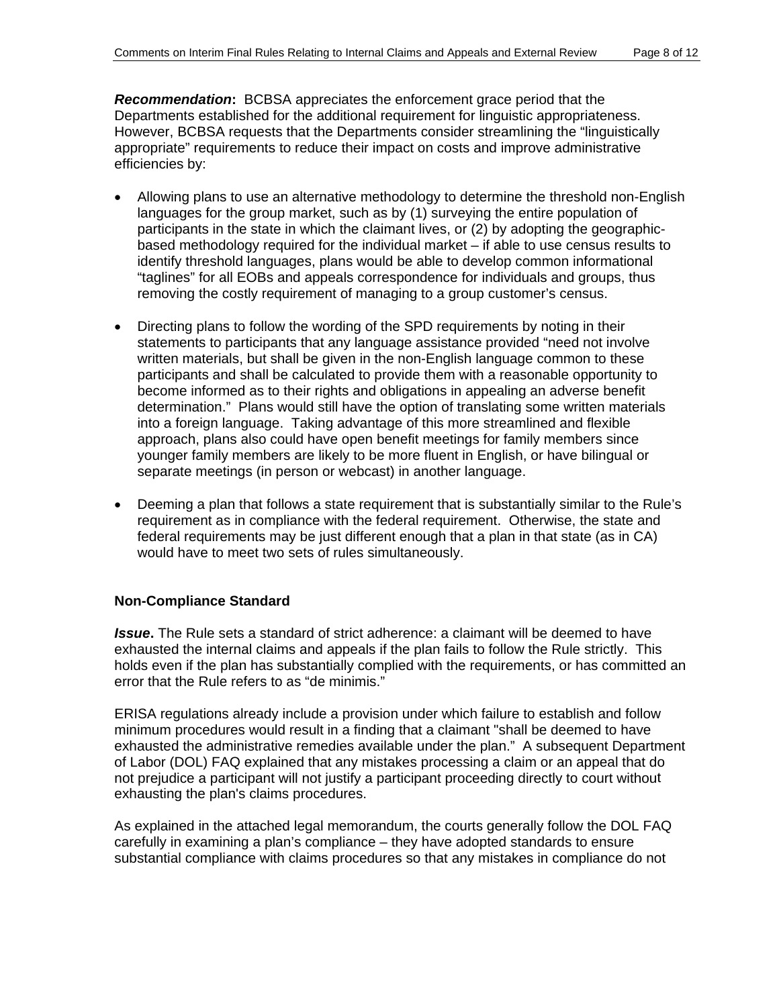*R ecommendation***:** BCBSA appreciates the enforcement grace period that the Departments established for the additional requirement for linguistic appropriateness. However, BCBSA requests that the Departments consider streamlining the "linguistically appropriate" requirements to reduce their impact on costs and improve administrative efficiencies by:

- Allowing plans to use an alternative methodology to determine the threshold non-English languages for the group market, such as by (1) surveying the entire population of participants in the state in which the claimant lives, or (2) by adopting the geographicidentify threshold languages, plans would be able to develop common informational based methodology required for the individual market – if able to use census results to "taglines" for all EOBs and appeals correspondence for individuals and groups, thus removing the costly requirement of managing to a group customer's census.
- Directing plans to follow the wording of the SPD requirements by noting in their statements to participants that any language assistance provided "need not involve written materials, but shall be given in the non-English language common to these participants and shall be calculated to provide them with a reasonable opportunity to determination." Plans would still have the option of translating some written materials become informed as to their rights and obligations in appealing an adverse benefit into a foreign language. Taking advantage of this more streamlined and flexible approach, plans also could have open benefit meetings for family members since younger family members are likely to be more fluent in English, or have bilingual or separate meetings (in person or webcast) in another language.
- Deeming a plan that follows a state requirement that is substantially similar to the Rule's requirement as in compliance with the federal requirement. Otherwise, the state and federal requirements may be just different enough that a plan in that state (as in CA) would have to meet two sets of rules simultaneously.

# **No n-Compliance Standard**

**Issue.** The Rule sets a standard of strict adherence: a claimant will be deemed to have exhausted the internal claims and appeals if the plan fails to follow the Rule strictly. This holds even if the plan has substantially complied with the requirements, or has committed an error that the Rule refers to as "de minimis."

minimum procedures would result in a finding that a claimant "shall be deemed to have exhausted the administrative remedies available under the plan." A subsequent Department not prejudice a participant will not justify a participant proceeding directly to court without ERISA regulations already include a provision under which failure to establish and follow of Labor (DOL) FAQ explained that any mistakes processing a claim or an appeal that do exhausting the plan's claims procedures.

carefully in examining a plan's compliance – they have adopted standards to ensure substantial compliance with claims procedures so that any mistakes in compliance do not As explained in the attached legal memorandum, the courts generally follow the DOL FAQ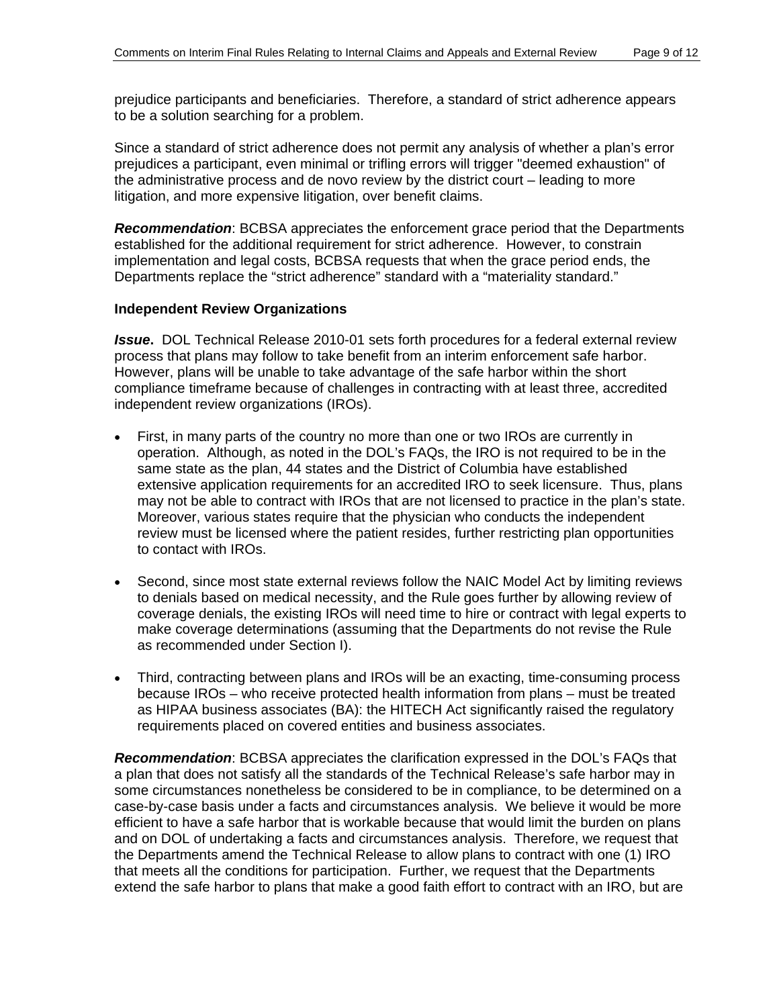prejudice participants and beneficiaries. Therefore, a standard of strict adherence appears to be a solution searching for a problem.

prejudices a participant, even minimal or trifling errors will trigger "deemed exhaustion" of the administrative process and de novo review by the district court – leading to more Since a standard of strict adherence does not permit any analysis of whether a plan's error litigation, and more expensive litigation, over benefit claims.

**Recommendation:** BCBSA appreciates the enforcement grace period that the Departments established for the additional requirement for strict adherence. However, to constrain implementation and legal costs, BCBSA requests that when the grace period ends, the Departments replace the "strict adherence" standard with a "materiality standard."

#### **Independent Review Organizations**

**Issue.** DOL Technical Release 2010-01 sets forth procedures for a federal external review process that plans may follow to take benefit from an interim enforcement safe harbor. However, plans will be unable to take advantage of the safe harbor within the short compliance timeframe because of challenges in contracting with at least three, accredited independent review organizations (IROs).

- operation. Although, as noted in the DOL's FAQs, the IRO is not required to be in the same state as the plan, 44 states and the District of Columbia have established extensive application requirements for an accredited IRO to seek licensure. Thus, plans may not be able to contract with IROs that are not licensed to practice in the plan's state. Moreover, various states require that the physician who conducts the independent • First, in many parts of the country no more than one or two IROs are currently in review must be licensed where the patient resides, further restricting plan opportunities to contact with IROs.
- Second, since most state external reviews follow the NAIC Model Act by limiting reviews to denials based on medical necessity, and the Rule goes further by allowing review of coverage denials, the existing IROs will need time to hire or contract with legal experts to make coverage determinations (assuming that the Departments do not revise the Rule as recommended under Section I).
- because IROs – who receive protected health information from plans – must be treated as HIPAA business associates (BA): the HITECH Act significantly raised the regulatory Third, contracting between plans and IROs will be an exacting, time-consuming process requirements placed on covered entities and business associates.

*Re commendation*: BCBSA appreciates the clarification expressed in the DOL's FAQs that a plan that does not satisfy all the standards of the Technical Release's safe harbor may in some circumstances nonetheless be considered to be in compliance, to be determined on a extend the safe harbor to plans that make a good faith effort to contract with an IRO, but are case-by-case basis under a facts and circumstances analysis. We believe it would be more efficient to have a safe harbor that is workable because that would limit the burden on plans and on DOL of undertaking a facts and circumstances analysis. Therefore, we request that the Departments amend the Technical Release to allow plans to contract with one (1) IRO that meets all the conditions for participation. Further, we request that the Departments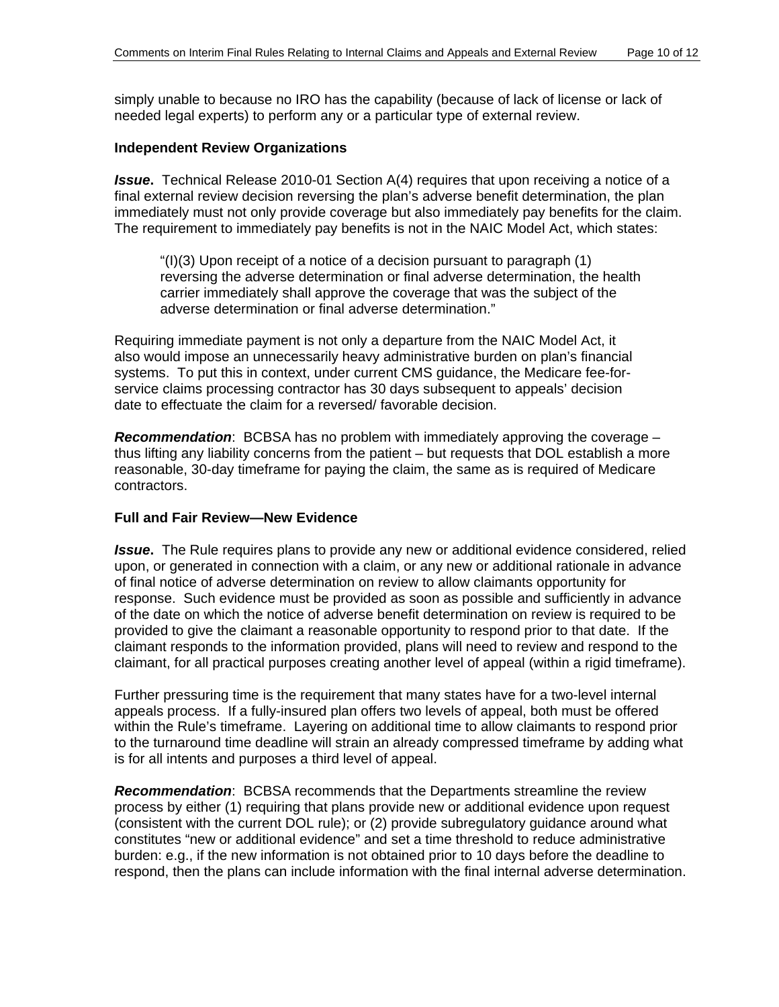simply unable to because no IRO has the capability (because of lack of license or lack of needed legal experts) to perform any or a particular type of external review.

#### **Independent Review Organizations**

**Issue.** Technical Release 2010-01 Section A(4) requires that upon receiving a notice of a final external review decision reversing the plan's adverse benefit determination, the plan immediately must not only provide coverage but also immediately pay benefits for the claim. The requirement to immediately pay benefits is not in the NAIC Model Act, which states:

adverse determination or final adverse determination." "(I)(3) Upon receipt of a notice of a decision pursuant to paragraph (1) reversing the adverse determination or final adverse determination, the health carrier immediately shall approve the coverage that was the subject of the

Requiri ng immediate payment is not only a departure from the NAIC Model Act, it also would impose an unnecessarily heavy administrative burden on plan's financial systems. To put this in context, under current CMS guidance, the Medicare fee-forservice claims processing contractor has 30 days subsequent to appeals' decision date to effectuate the claim for a reversed/ favorable decision.

**Recommendation**: BCBSA has no problem with immediately approving the coverage reasonable, 30-day timeframe for paying the claim, the same as is required of Medicare contractors. thus lifting any liability concerns from the patient – but requests that DOL establish a more

#### **Full and Fair Review—New Evidence**

**Issue.** The Rule requires plans to provide any new or additional evidence considered, relied upon, or generated in connection with a claim, or any new or additional rationale in advance of final notice of adverse determination on review to allow claimants opportunity for response. Such evidence must be provided as soon as possible and sufficiently in advance claimant responds to the information provided, plans will need to review and respond to the of the date on which the notice of adverse benefit determination on review is required to be provided to give the claimant a reasonable opportunity to respond prior to that date. If the claimant, for all practical purposes creating another level of appeal (within a rigid timeframe).

to the turnaround time deadline will strain an already compressed timeframe by adding what Further pressuring time is the requirement that many states have for a two-level internal appeals process. If a fully-insured plan offers two levels of appeal, both must be offered within the Rule's timeframe. Layering on additional time to allow claimants to respond prior is for all intents and purposes a third level of appeal.

(consistent with the current DOL rule); or (2) provide subregulatory guidance around what onstitutes "new or additional evidence" and set a time threshold to reduce administrative c burden: e.g., if the new information is not obtained prior to 10 days before the deadline to respond, then the plans can include information with the final internal adverse determination. *Recommendation*: BCBSA recommends that the Departments streamline the review process by either (1) requiring that plans provide new or additional evidence upon request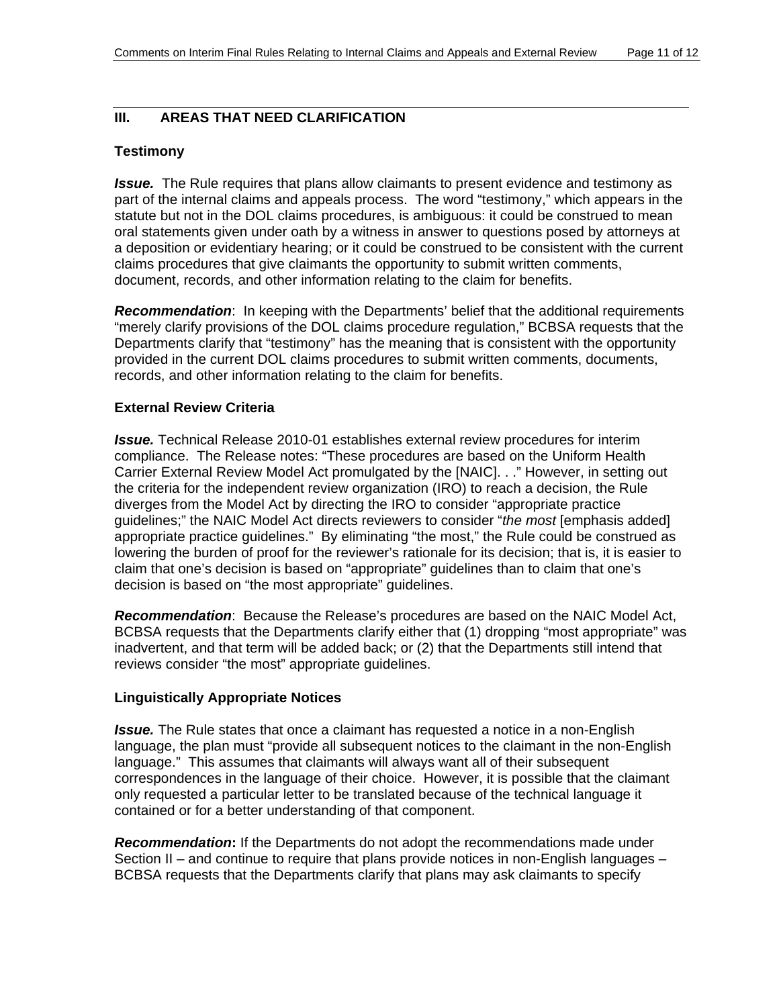#### **III. AREAS THAT NEED CLARIFICATION**

#### **Testimony**

**Issue.** The Rule requires that plans allow claimants to present evidence and testimony as part of the internal claims and appeals process. The word "testimony," which appears in the statute but not in the DOL claims procedures, is ambiguous: it could be construed to mean oral statements given under oath by a witness in answer to questions posed by attorneys at a deposition or evidentiary hearing; or it could be construed to be consistent with the current claims procedures that give claimants the opportunity to submit written comments, document, records, and other information relating to the claim for benefits.

Departments clarify that "testimony" has the meaning that is consistent with the opportunity provided in the current DOL claims procedures to submit written comments, documents, *Recommendation*: In keeping with the Departments' belief that the additional requirements "merely clarify provisions of the DOL claims procedure regulation," BCBSA requests that the records, and other information relating to the claim for benefits.

#### **External Review Criteria**

compliance. The Release notes: "These procedures are based on the Uniform Health Carrier External Review Model Act promulgated by the [NAIC]. . ." However, in setting out the criteria for the independent review organization (IRO) to reach a decision, the Rule guidelines;" the NAIC Model Act directs reviewers to consider "*the most* [emphasis added] lowering the burden of proof for the reviewer's rationale for its decision; that is, it is easier to *Issue.* Technical Release 2010-01 establishes external review procedures for interim diverges from the Model Act by directing the IRO to consider "appropriate practice appropriate practice guidelines." By eliminating "the most," the Rule could be construed as claim that one's decision is based on "appropriate" guidelines than to claim that one's decision is based on "the most appropriate" guidelines.

inadvertent, and that term will be added back; or (2) that the Departments still intend that *Recommendation*: Because the Release's procedures are based on the NAIC Model Act, BCBSA requests that the Departments clarify either that (1) dropping "most appropriate" was reviews consider "the most" appropriate guidelines.

#### **Linguistically Appropriate Notices**

language, the plan must "provide all subsequent notices to the claimant in the non-English language." This assumes that claimants will always want all of their subsequent correspondences in the language of their choice. However, it is possible that the claimant *Issue.* The Rule states that once a claimant has requested a notice in a non-English only requested a particular letter to be translated because of the technical language it contained or for a better understanding of that component.

*Recommendation***:** If the Departments do not adopt the recommendations made under Section II – and continue to require that plans provide notices in non-English languages – BCBSA requests that the Departments clarify that plans may ask claimants to specify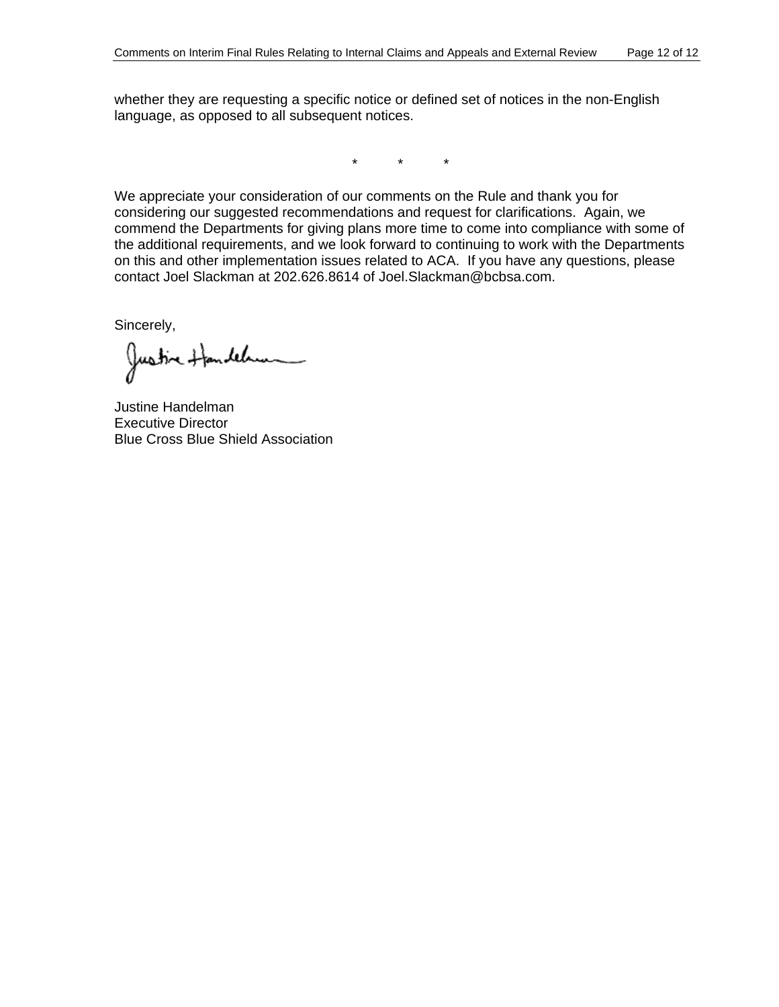whether they are requesting a specific notice or defined set of notices in the non-English language, as opposed to all subsequent notices.

\* \* \*

We appreciate your consideration of our comments on the Rule and thank you for onsidering our suggested recommendations and request for clarifications. Again, we c commend the Departments for giving plans more time to come into compliance with some of the additional requirements, and we look forward to continuing to work with the Departments on this and other implementation issues related to ACA. If you have any questions, please contact Joel Slackman at 202.626.8614 of Joel.Slackman@bcbsa.com.

Sincerely,

Justine Handel

Justine Handelman Executive Director Blue Cross Blue Shield Association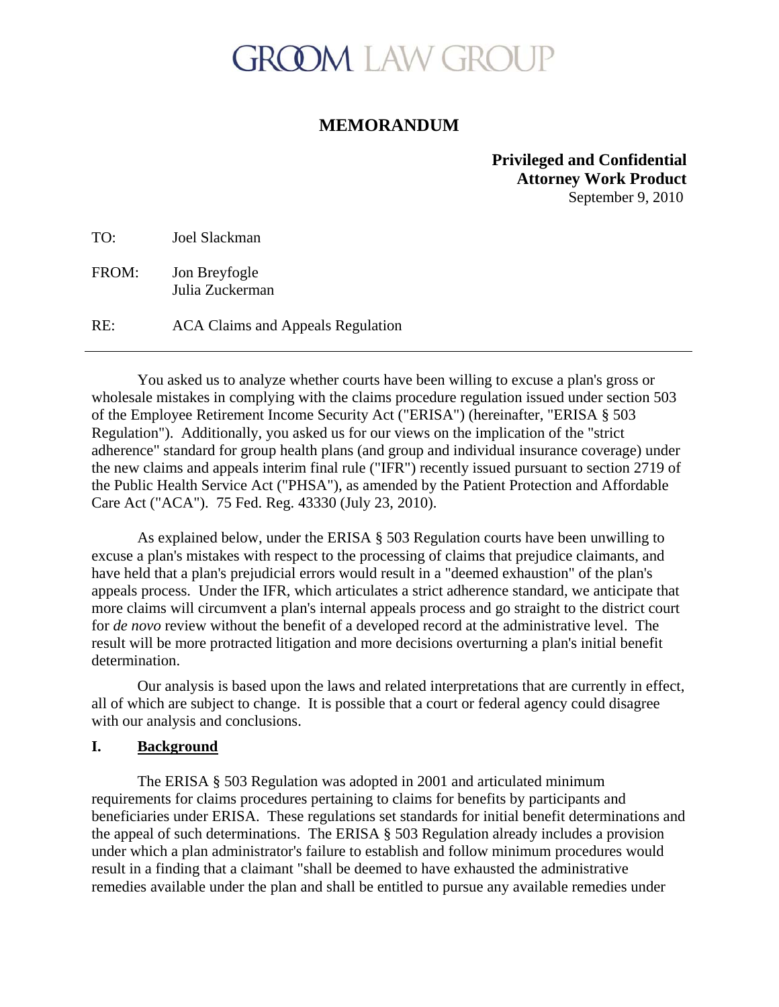# **GROOM LAW GROUP**

# **MEMORANDUM**

# **Privileged and Confidential Attorney Work Product** September 9, 2010

TO: Joel Slackman

FROM: Jon Breyfogle Julia Zuckerman

RE: ACA Claims and Appeals Regulation

You asked us to analyze whether courts have been willing to excuse a plan's gross or wholesale mistakes in complying with the claims procedure regulation issued under section 503 of the Employee Retirement Income Security Act ("ERISA") (hereinafter, "ERISA § 503 Regulation"). Additionally, you asked us for our views on the implication of the "strict adherence" standard for group health plans (and group and individual insurance coverage) under the new claims and appeals interim final rule ("IFR") recently issued pursuant to section 2719 of the Public Health Service Act ("PHSA"), as amended by the Patient Protection and Affordable Care Act ("ACA"). 75 Fed. Reg. 43330 (July 23, 2010).

As explained below, under the ERISA § 503 Regulation courts have been unwilling to excuse a plan's mistakes with respect to the processing of claims that prejudice claimants, and have held that a plan's prejudicial errors would result in a "deemed exhaustion" of the plan's appeals process. Under the IFR, which articulates a strict adherence standard, we anticipate that more claims will circumvent a plan's internal appeals process and go straight to the district court for *de novo* review without the benefit of a developed record at the administrative level. The result will be more protracted litigation and more decisions overturning a plan's initial benefit determination.

Our analysis is based upon the laws and related interpretations that are currently in effect, all of which are subject to change. It is possible that a court or federal agency could disagree with our analysis and conclusions.

# **I. Background**

 The ERISA § 503 Regulation was adopted in 2001 and articulated minimum requirements for claims procedures pertaining to claims for benefits by participants and beneficiaries under ERISA. These regulations set standards for initial benefit determinations and the appeal of such determinations. The ERISA § 503 Regulation already includes a provision under which a plan administrator's failure to establish and follow minimum procedures would result in a finding that a claimant "shall be deemed to have exhausted the administrative remedies available under the plan and shall be entitled to pursue any available remedies under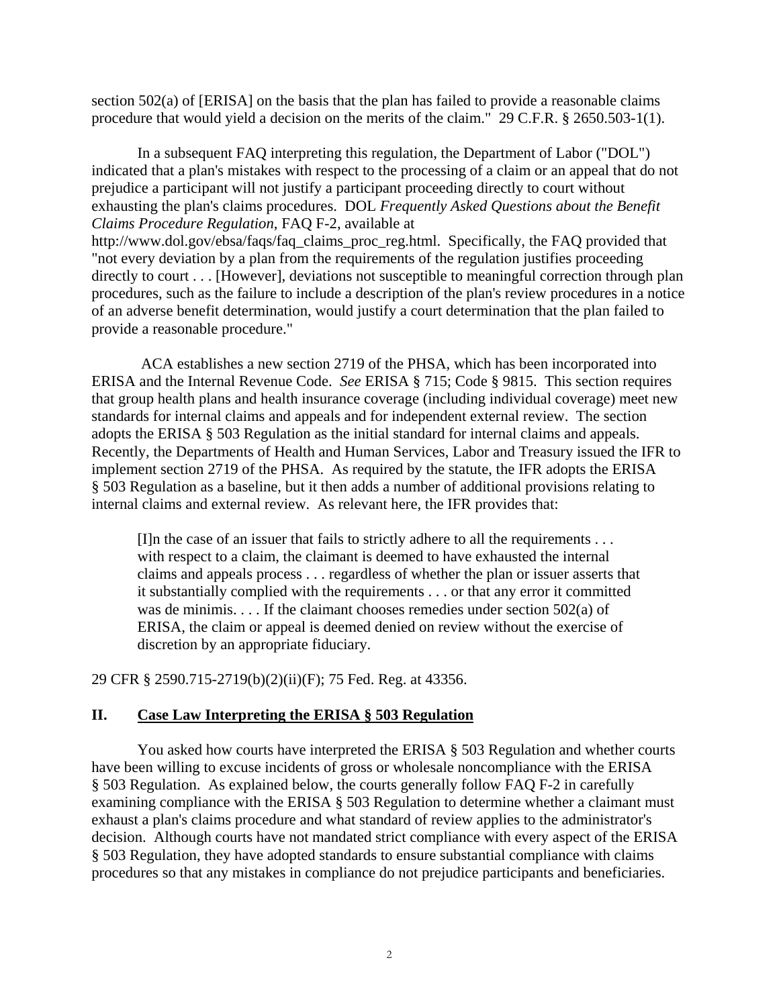section 502(a) of [ERISA] on the basis that the plan has failed to provide a reasonable claims procedure that would yield a decision on the merits of the claim." 29 C.F.R. § 2650.503-1(1).

 In a subsequent FAQ interpreting this regulation, the Department of Labor ("DOL") indicated that a plan's mistakes with respect to the processing of a claim or an appeal that do not prejudice a participant will not justify a participant proceeding directly to court without exhausting the plan's claims procedures. DOL *Frequently Asked Questions about the Benefit Claims Procedure Regulation*, FAQ F-2, available at http://www.dol.gov/ebsa/faqs/faq\_claims\_proc\_reg.html. Specifically, the FAQ provided that "not every deviation by a plan from the requirements of the regulation justifies proceeding directly to court . . . [However], deviations not susceptible to meaningful correction through plan procedures, such as the failure to include a description of the plan's review procedures in a notice of an adverse benefit determination, would justify a court determination that the plan failed to provide a reasonable procedure."

 ACA establishes a new section 2719 of the PHSA, which has been incorporated into ERISA and the Internal Revenue Code. *See* ERISA § 715; Code § 9815. This section requires that group health plans and health insurance coverage (including individual coverage) meet new standards for internal claims and appeals and for independent external review. The section adopts the ERISA § 503 Regulation as the initial standard for internal claims and appeals. Recently, the Departments of Health and Human Services, Labor and Treasury issued the IFR to implement section 2719 of the PHSA. As required by the statute, the IFR adopts the ERISA § 503 Regulation as a baseline, but it then adds a number of additional provisions relating to internal claims and external review. As relevant here, the IFR provides that:

 $[1]$ n the case of an issuer that fails to strictly adhere to all the requirements  $\ldots$ with respect to a claim, the claimant is deemed to have exhausted the internal claims and appeals process . . . regardless of whether the plan or issuer asserts that it substantially complied with the requirements . . . or that any error it committed was de minimis. . . . If the claimant chooses remedies under section 502(a) of ERISA, the claim or appeal is deemed denied on review without the exercise of discretion by an appropriate fiduciary.

29 CFR § 2590.715-2719(b)(2)(ii)(F); 75 Fed. Reg. at 43356.

# **II. Case Law Interpreting the ERISA § 503 Regulation**

You asked how courts have interpreted the ERISA § 503 Regulation and whether courts have been willing to excuse incidents of gross or wholesale noncompliance with the ERISA § 503 Regulation. As explained below, the courts generally follow FAQ F-2 in carefully examining compliance with the ERISA § 503 Regulation to determine whether a claimant must exhaust a plan's claims procedure and what standard of review applies to the administrator's decision. Although courts have not mandated strict compliance with every aspect of the ERISA § 503 Regulation, they have adopted standards to ensure substantial compliance with claims procedures so that any mistakes in compliance do not prejudice participants and beneficiaries.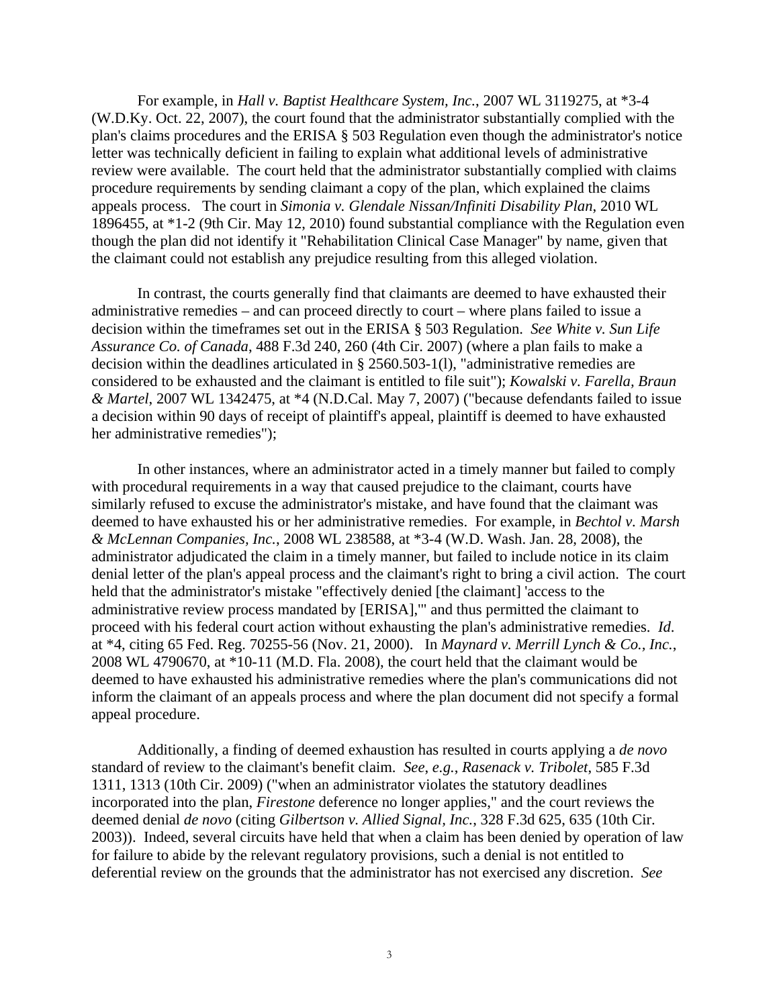For example, in *Hall v. Baptist Healthcare System, Inc.*, 2007 WL 3119275, at \*3-4 (W.D.Ky. Oct. 22, 2007), the court found that the administrator substantially complied with the plan's claims procedures and the ERISA § 503 Regulation even though the administrator's notice letter was technically deficient in failing to explain what additional levels of administrative review were available. The court held that the administrator substantially complied with claims procedure requirements by sending claimant a copy of the plan, which explained the claims appeals process. The court in *Simonia v. Glendale Nissan/Infiniti Disability Plan*, 2010 WL 1896455, at \*1-2 (9th Cir. May 12, 2010) found substantial compliance with the Regulation even though the plan did not identify it "Rehabilitation Clinical Case Manager" by name, given that the claimant could not establish any prejudice resulting from this alleged violation.

In contrast, the courts generally find that claimants are deemed to have exhausted their administrative remedies – and can proceed directly to court – where plans failed to issue a decision within the timeframes set out in the ERISA § 503 Regulation. *See White v. Sun Life Assurance Co. of Canada*, 488 F.3d 240, 260 (4th Cir. 2007) (where a plan fails to make a decision within the deadlines articulated in § 2560.503-1(l), "administrative remedies are considered to be exhausted and the claimant is entitled to file suit"); *Kowalski v. Farella, Braun & Martel*, 2007 WL 1342475, at \*4 (N.D.Cal. May 7, 2007) ("because defendants failed to issue a decision within 90 days of receipt of plaintiff's appeal, plaintiff is deemed to have exhausted her administrative remedies");

 In other instances, where an administrator acted in a timely manner but failed to comply with procedural requirements in a way that caused prejudice to the claimant, courts have similarly refused to excuse the administrator's mistake, and have found that the claimant was deemed to have exhausted his or her administrative remedies. For example, in *Bechtol v. Marsh & McLennan Companies, Inc.*, 2008 WL 238588, at \*3-4 (W.D. Wash. Jan. 28, 2008), the administrator adjudicated the claim in a timely manner, but failed to include notice in its claim denial letter of the plan's appeal process and the claimant's right to bring a civil action. The court held that the administrator's mistake "effectively denied [the claimant] 'access to the administrative review process mandated by [ERISA],'" and thus permitted the claimant to proceed with his federal court action without exhausting the plan's administrative remedies. *Id*. at \*4, citing 65 Fed. Reg. 70255-56 (Nov. 21, 2000). In *Maynard v. Merrill Lynch & Co., Inc.*, 2008 WL 4790670, at \*10-11 (M.D. Fla. 2008), the court held that the claimant would be deemed to have exhausted his administrative remedies where the plan's communications did not inform the claimant of an appeals process and where the plan document did not specify a formal appeal procedure.

 Additionally, a finding of deemed exhaustion has resulted in courts applying a *de novo* standard of review to the claimant's benefit claim. *See*, *e.g.*, *Rasenack v. Tribolet*, 585 F.3d 1311, 1313 (10th Cir. 2009) ("when an administrator violates the statutory deadlines incorporated into the plan, *Firestone* deference no longer applies," and the court reviews the deemed denial *de novo* (citing *Gilbertson v. Allied Signal, Inc.*, 328 F.3d 625, 635 (10th Cir. 2003)). Indeed, several circuits have held that when a claim has been denied by operation of law for failure to abide by the relevant regulatory provisions, such a denial is not entitled to deferential review on the grounds that the administrator has not exercised any discretion. *See*